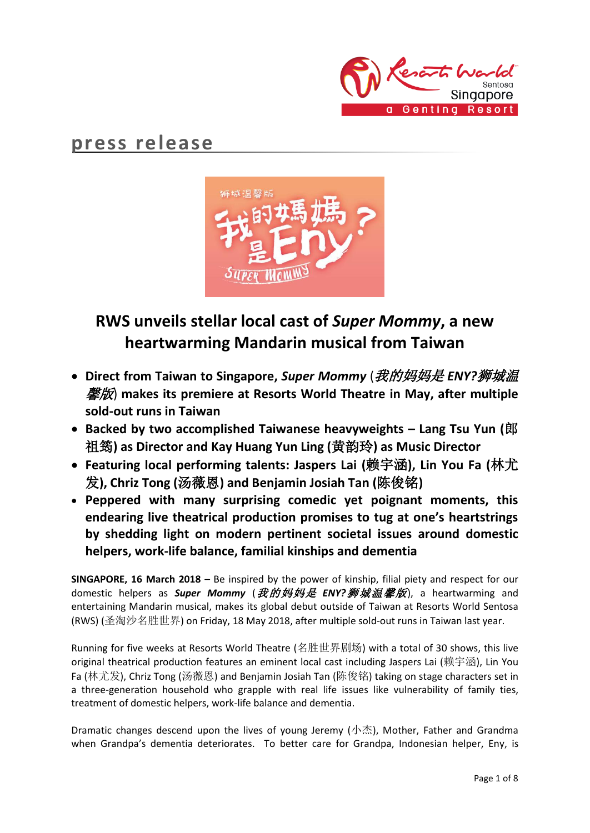

# **press release**



# **RWS unveils stellar local cast of** *Super Mommy***, a new heartwarming Mandarin musical from Taiwan**

- **Direct from Taiwan to Singapore,** *Super Mommy* (我的妈妈是 *ENY?*狮城温 馨版) **makes its premiere at Resorts World Theatre in May, after multiple sold-out runs in Taiwan**
- **Backed by two accomplished Taiwanese heavyweights – Lang Tsu Yun (**郎 祖筠**) as Director and Kay Huang Yun Ling (**黄韵玲**) as Music Director**
- **Featuring local performing talents: Jaspers Lai (**赖宇涵**), Lin You Fa (**林尤 发**), Chriz Tong (**汤薇恩**) and Benjamin Josiah Tan (**陈俊铭**)**
- **Peppered with many surprising comedic yet poignant moments, this endearing live theatrical production promises to tug at one's heartstrings by shedding light on modern pertinent societal issues around domestic helpers, work-life balance, familial kinships and dementia**

**SINGAPORE, 16 March 2018** – Be inspired by the power of kinship, filial piety and respect for our domestic helpers as *Super Mommy* (我的妈妈是 *ENY?*狮城温馨版), a heartwarming and entertaining Mandarin musical, makes its global debut outside of Taiwan at Resorts World Sentosa (RWS) (圣淘沙名胜世界) on Friday, 18 May 2018, after multiple sold-out runs in Taiwan last year.

Running for five weeks at Resorts World Theatre (名胜世界剧场) with a total of 30 shows, this live original theatrical production features an eminent local cast including Jaspers Lai (赖宇涵), Lin You Fa (林尤发), Chriz Tong (汤薇恩) and Benjamin Josiah Tan (陈俊铭) taking on stage characters set in a three-generation household who grapple with real life issues like vulnerability of family ties, treatment of domestic helpers, work-life balance and dementia.

Dramatic changes descend upon the lives of young Jeremy (小杰), Mother, Father and Grandma when Grandpa's dementia deteriorates. To better care for Grandpa, Indonesian helper, Eny, is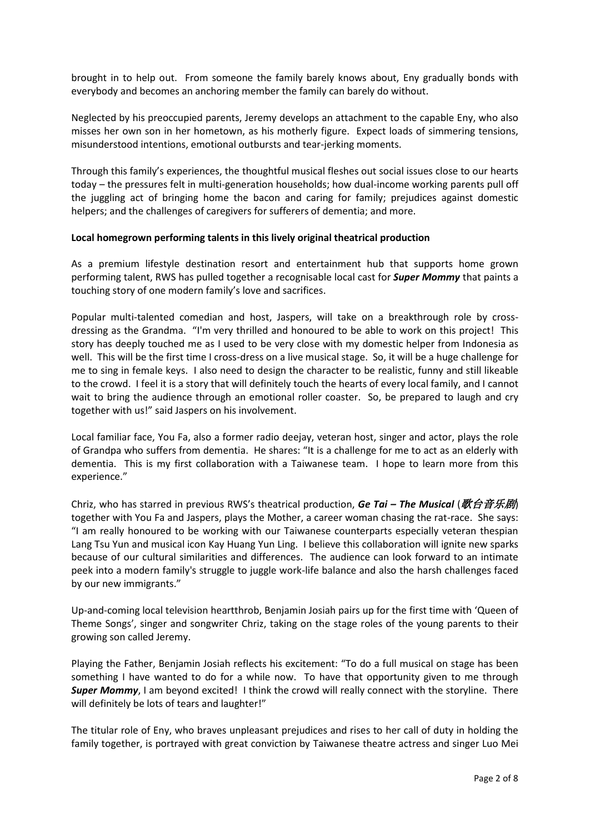brought in to help out. From someone the family barely knows about, Eny gradually bonds with everybody and becomes an anchoring member the family can barely do without.

Neglected by his preoccupied parents, Jeremy develops an attachment to the capable Eny, who also misses her own son in her hometown, as his motherly figure. Expect loads of simmering tensions, misunderstood intentions, emotional outbursts and tear-jerking moments.

Through this family's experiences, the thoughtful musical fleshes out social issues close to our hearts today – the pressures felt in multi-generation households; how dual-income working parents pull off the juggling act of bringing home the bacon and caring for family; prejudices against domestic helpers; and the challenges of caregivers for sufferers of dementia; and more.

## **Local homegrown performing talents in this lively original theatrical production**

As a premium lifestyle destination resort and entertainment hub that supports home grown performing talent, RWS has pulled together a recognisable local cast for *Super Mommy* that paints a touching story of one modern family's love and sacrifices.

Popular multi-talented comedian and host, Jaspers, will take on a breakthrough role by crossdressing as the Grandma. "I'm very thrilled and honoured to be able to work on this project! This story has deeply touched me as I used to be very close with my domestic helper from Indonesia as well. This will be the first time I cross-dress on a live musical stage. So, it will be a huge challenge for me to sing in female keys. I also need to design the character to be realistic, funny and still likeable to the crowd. I feel it is a story that will definitely touch the hearts of every local family, and I cannot wait to bring the audience through an emotional roller coaster. So, be prepared to laugh and cry together with us!" said Jaspers on his involvement.

Local familiar face, You Fa, also a former radio deejay, veteran host, singer and actor, plays the role of Grandpa who suffers from dementia. He shares: "It is a challenge for me to act as an elderly with dementia. This is my first collaboration with a Taiwanese team. I hope to learn more from this experience."

Chriz, who has starred in previous RWS's theatrical production, Ge Tai – The Musical (*歌台音乐剧*) together with You Fa and Jaspers, plays the Mother, a career woman chasing the rat-race. She says: "I am really honoured to be working with our Taiwanese counterparts especially veteran thespian Lang Tsu Yun and musical icon Kay Huang Yun Ling. I believe this collaboration will ignite new sparks because of our cultural similarities and differences. The audience can look forward to an intimate peek into a modern family's struggle to juggle work-life balance and also the harsh challenges faced by our new immigrants."

Up-and-coming local television heartthrob, Benjamin Josiah pairs up for the first time with 'Queen of Theme Songs', singer and songwriter Chriz, taking on the stage roles of the young parents to their growing son called Jeremy.

Playing the Father, Benjamin Josiah reflects his excitement: "To do a full musical on stage has been something I have wanted to do for a while now. To have that opportunity given to me through **Super Mommy**, I am beyond excited! I think the crowd will really connect with the storyline. There will definitely be lots of tears and laughter!"

The titular role of Eny, who braves unpleasant prejudices and rises to her call of duty in holding the family together, is portrayed with great conviction by Taiwanese theatre actress and singer Luo Mei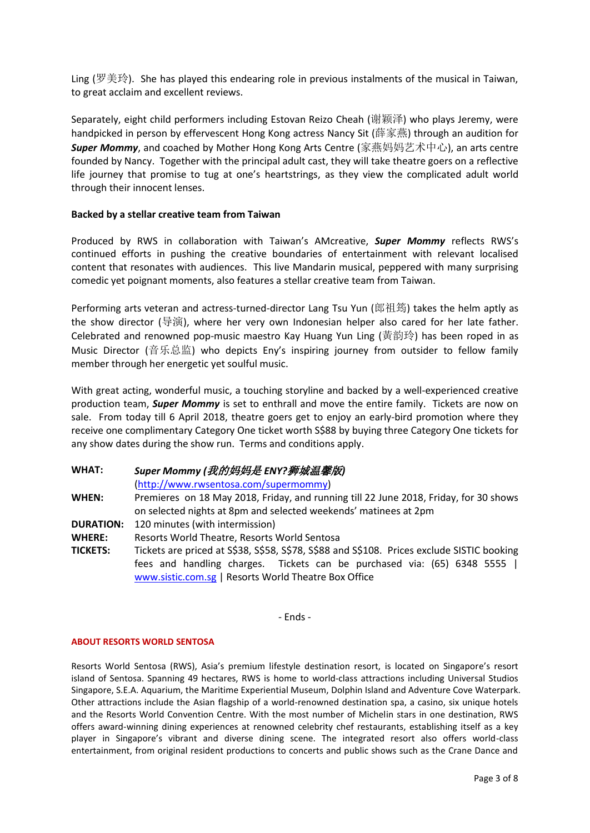Ling (罗美玲). She has played this endearing role in previous instalments of the musical in Taiwan, to great acclaim and excellent reviews.

Separately, eight child performers including Estovan Reizo Cheah (谢颖泽) who plays Jeremy, were handpicked in person by effervescent Hong Kong actress Nancy Sit (薛家燕) through an audition for *Super Mommy*, and coached by Mother Hong Kong Arts Centre (家燕妈妈艺术中心), an arts centre founded by Nancy. Together with the principal adult cast, they will take theatre goers on a reflective life journey that promise to tug at one's heartstrings, as they view the complicated adult world through their innocent lenses.

## **Backed by a stellar creative team from Taiwan**

Produced by RWS in collaboration with Taiwan's AMcreative, *Super Mommy* reflects RWS's continued efforts in pushing the creative boundaries of entertainment with relevant localised content that resonates with audiences. This live Mandarin musical, peppered with many surprising comedic yet poignant moments, also features a stellar creative team from Taiwan.

Performing arts veteran and actress-turned-director Lang Tsu Yun (郎祖筠) takes the helm aptly as the show director (导演), where her very own Indonesian helper also cared for her late father. Celebrated and renowned pop-music maestro Kay Huang Yun Ling (黃韵玲) has been roped in as Music Director (音乐总监) who depicts Eny's inspiring journey from outsider to fellow family member through her energetic yet soulful music.

With great acting, wonderful music, a touching storyline and backed by a well-experienced creative production team, *Super Mommy* is set to enthrall and move the entire family. Tickets are now on sale. From today till 6 April 2018, theatre goers get to enjoy an early-bird promotion where they receive one complimentary Category One ticket worth S\$88 by buying three Category One tickets for any show dates during the show run. Terms and conditions apply.

## **WHAT:** *Super Mommy (*我的妈妈是 *ENY?*狮城温馨版*)*

[\(http://www.rwsentosa.com/supermommy\)](http://www.rwsentosa.com/supermommy)

**WHEN:** Premieres on 18 May 2018, Friday, and running till 22 June 2018, Friday, for 30 shows on selected nights at 8pm and selected weekends' matinees at 2pm

- **DURATION:** 120 minutes (with intermission)
- **WHERE:** Resorts World Theatre, Resorts World Sentosa
- **TICKETS:** Tickets are priced at S\$38, S\$58, S\$78, S\$88 and S\$108. Prices exclude SISTIC booking fees and handling charges. Tickets can be purchased via: (65) 6348 5555 | [www.sistic.com.sg](http://www.sistic.com.sg/) | Resorts World Theatre Box Office

- Ends -

#### **ABOUT RESORTS WORLD SENTOSA**

Resorts World Sentosa (RWS), Asia's premium lifestyle destination resort, is located on Singapore's resort island of Sentosa. Spanning 49 hectares, RWS is home to world-class attractions including Universal Studios Singapore, S.E.A. Aquarium, the Maritime Experiential Museum, Dolphin Island and Adventure Cove Waterpark. Other attractions include the Asian flagship of a world-renowned destination spa, a casino, six unique hotels and the Resorts World Convention Centre. With the most number of Michelin stars in one destination, RWS offers award-winning dining experiences at renowned celebrity chef restaurants, establishing itself as a key player in Singapore's vibrant and diverse dining scene. The integrated resort also offers world-class entertainment, from original resident productions to concerts and public shows such as the Crane Dance and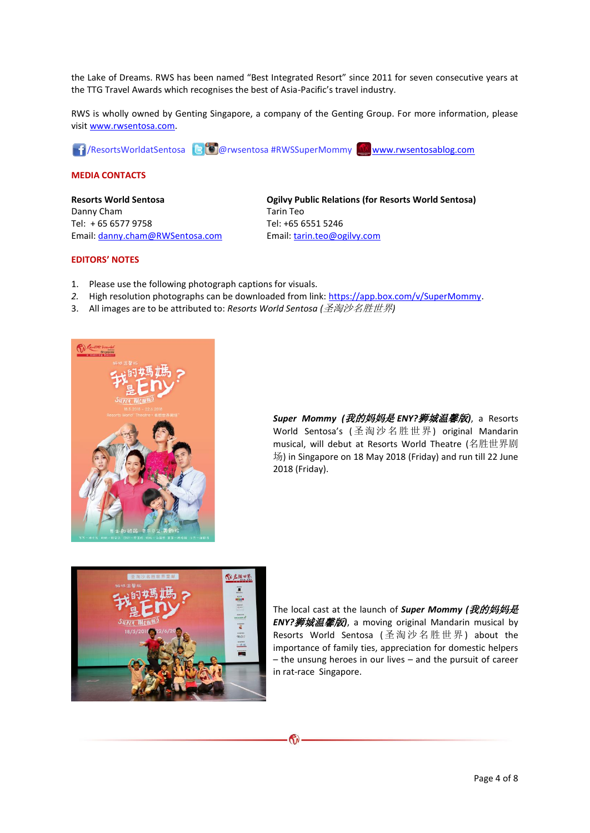the Lake of Dreams. RWS has been named "Best Integrated Resort" since 2011 for seven consecutive years at the TTG Travel Awards which recognises the best of Asia-Pacific's travel industry.

RWS is wholly owned by Genting Singapore, a company of the Genting Group. For more information, please visi[t www.rwsentosa.com.](http://www.rwsentosa.com/)

**1** ResortsWorldatSentosa **@** @ wsentosa #RWSSuperMommy [www.rwsentosablog.com](http://www.rwsentosablog.com/)

#### **MEDIA CONTACTS**

**Resorts World Sentosa** Danny Cham Tel: + 65 6577 9758 Email: [danny.cham@RWSentosa.com](mailto:danny.cham@RWSentosa.com) **Ogilvy Public Relations (for Resorts World Sentosa)** Tarin Teo Tel: +65 6551 5246 Email[: tarin.teo@ogilvy.com](mailto:tarin.teo@ogilvy.com)

#### **EDITORS' NOTES**

- 1. Please use the following photograph captions for visuals.
- 2. High resolution photographs can be downloaded from link: [https://app.box.com/v/SuperMommy.](https://app.box.com/v/SuperMommy)
- 3. All images are to be attributed to: *Resorts World Sentosa (*圣淘沙名胜世界*)*



*Super Mommy (*我的妈妈是 *ENY?*狮城温馨版*)*, a Resorts World Sentosa's (圣淘沙名胜世界) original Mandarin musical, will debut at Resorts World Theatre (名胜世界剧 场) in Singapore on 18 May 2018 (Friday) and run till 22 June 2018 (Friday).



The local cast at the launch of *Super Mommy (*我的妈妈是 *ENY?*狮城温馨版*)*, a moving original Mandarin musical by Resorts World Sentosa (圣淘沙名胜世界) about the importance of family ties, appreciation for domestic helpers – the unsung heroes in our lives – and the pursuit of career in rat-race Singapore.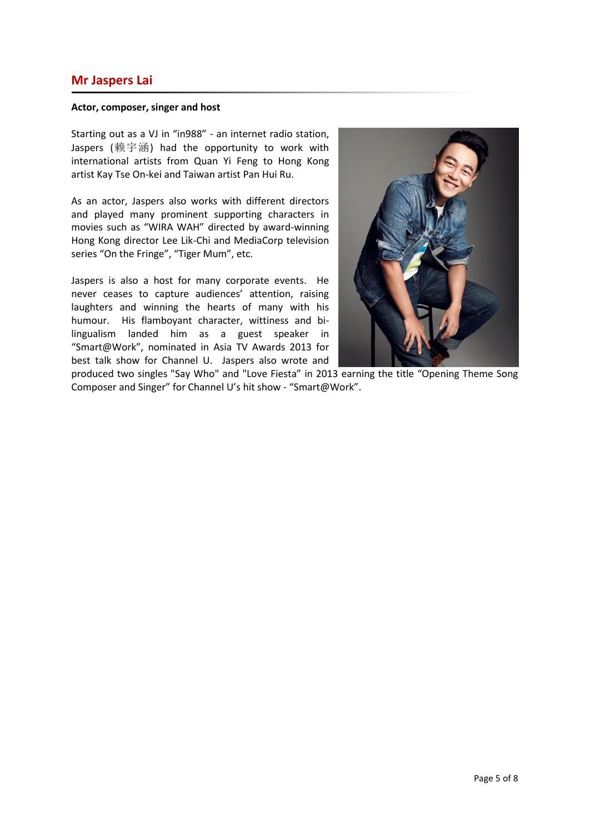## **Mr Jaspers Lai**

#### **Actor, composer, singer and host**

Starting out as a VJ in "in988" - an internet radio station, Jaspers (赖宇涵) had the opportunity to work with international artists from Quan Yi Feng to Hong Kong artist Kay Tse On-kei and Taiwan artist Pan Hui Ru.

As an actor, Jaspers also works with different directors and played many prominent supporting characters in movies such as "WIRA WAH" directed by award-winning Hong Kong director Lee Lik-Chi and MediaCorp television series "On the Fringe", "Tiger Mum", etc.

Jaspers is also a host for many corporate events. He never ceases to capture audiences' attention, raising laughters and winning the hearts of many with his humour. His flamboyant character, wittiness and bilingualism landed him as a guest speaker in "Smart@Work", nominated in Asia TV Awards 2013 for best talk show for Channel U. Jaspers also wrote and



produced two singles "Say Who" and "Love Fiesta" in 2013 earning the title "Opening Theme Song Composer and Singer" for Channel U's hit show - "Smart@Work".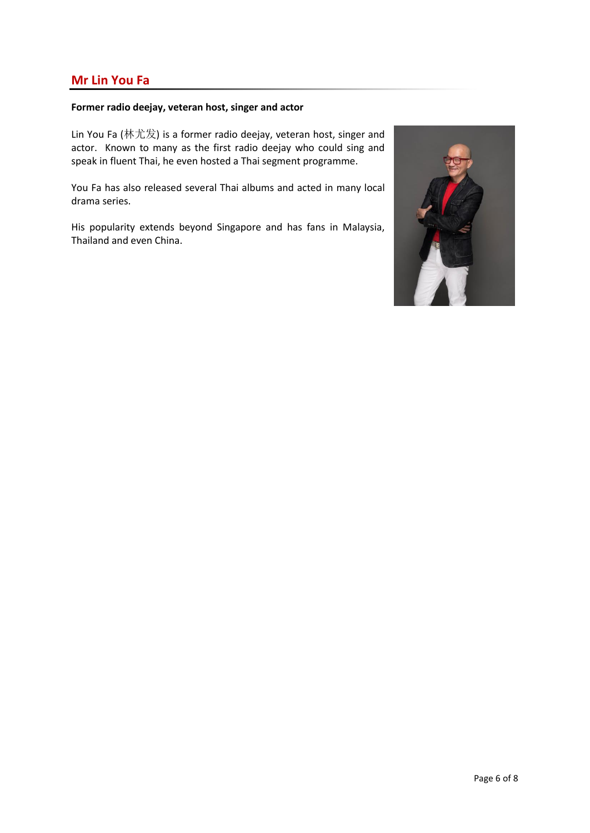# **Mr Lin You Fa**

## **Former radio deejay, veteran host, singer and actor**

Lin You Fa (林尤发) is a former radio deejay, veteran host, singer and actor. Known to many as the first radio deejay who could sing and speak in fluent Thai, he even hosted a Thai segment programme.

You Fa has also released several Thai albums and acted in many local drama series.

His popularity extends beyond Singapore and has fans in Malaysia, Thailand and even China.

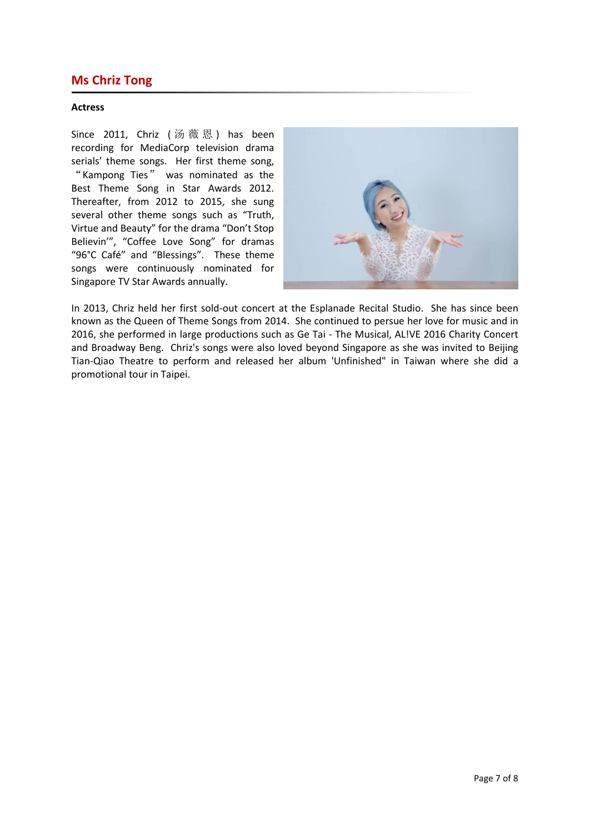# **Ms Chriz Tong**

## **Actress**

Since 2011, Chriz (汤薇恩) has been recording for MediaCorp television drama serials' theme songs. Her first theme song, "Kampong Ties" was nominated as the Best Theme Song in Star Awards 2012. Thereafter, from 2012 to 2015, she sung several other theme songs such as "Truth, Virtue and Beauty" for the drama "Don't Stop Believin'", "Coffee Love Song" for dramas "96°C Café" and "Blessings". These theme songs were continuously nominated for Singapore TV Star Awards annually.



In 2013, Chriz held her first sold-out concert at the Esplanade Recital Studio. She has since been known as the Queen of Theme Songs from 2014. She continued to persue her love for music and in 2016, she performed in large productions such as Ge Tai - The Musical, AL!VE 2016 Charity Concert and Broadway Beng. Chriz's songs were also loved beyond Singapore as she was invited to Beijing Tian-Qiao Theatre to perform and released her album 'Unfinished" in Taiwan where she did a promotional tour in Taipei.